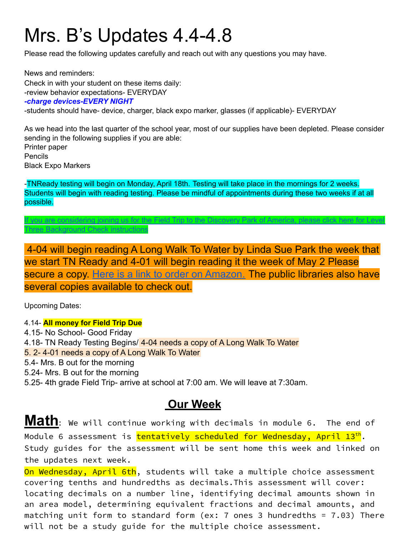# Mrs. B's Updates 4.4-4.8

Please read the following updates carefully and reach out with any questions you may have.

News and reminders: Check in with your student on these items daily: -review behavior expectations- EVERYDAY *-charge devices-EVERY NIGHT* -students should have- device, charger, black expo marker, glasses (if applicable)- EVERYDAY

As we head into the last quarter of the school year, most of our supplies have been depleted. Please consider sending in the following supplies if you are able: Printer paper Pencils Black Expo Markers

-TNReady testing will begin on Monday, April 18th. Testing will take place in the mornings for 2 weeks. Students will begin with reading testing. Please be mindful of appointments during these two weeks if at all possible.

f you are [considering](http://www.scsk12.org/face/level3) joining us for the Field Trip to the Discovery Park of America, please click here for Level

4-04 will begin reading A Long Walk To Water by Linda Sue Park the week that we start TN Ready and 4-01 will begin reading it the week of May 2 Please secure a copy. [Here is a link to order on Amazon.](https://www.amazon.com/Long-Walk-Water-Based-Story/dp/0547577311/ref=sr_1_1?crid=1AX3S7CBGRAUM&keywords=a+long+walk+to+water&qid=1648759538&sprefix=A+Long+Walk+%2Caps%2C120&sr=8-1) The public libraries also have several copies available to check out.

Upcoming Dates:

Three [Background](http://www.scsk12.org/face/level3) Check instructions

4.14- **All money for Field Trip Due** 4.15- No School- Good Friday 4.18- TN Ready Testing Begins/ 4-04 needs a copy of A Long Walk To Water 5. 2- 4-01 needs a copy of A Long Walk To Water 5.4- Mrs. B out for the morning 5.24- Mrs. B out for the morning 5.25- 4th grade Field Trip- arrive at school at 7:00 am. We will leave at 7:30am.

### **Our Week**

**Math:** We will continue working with decimals in module 6. The end of Module 6 assessment is <mark>tentatively scheduled for Wednesday, April 13<sup>th</sup>.</mark> Study guides for the assessment will be sent home this week and linked on the updates next week.

On Wednesday, April 6th, students will take a multiple choice assessment covering tenths and hundredths as decimals.This assessment will cover: locating decimals on a number line, identifying decimal amounts shown in an area model, determining equivalent fractions and decimal amounts, and matching unit form to standard form (ex: 7 ones 3 hundredths = 7.03) There will not be a study guide for the multiple choice assessment.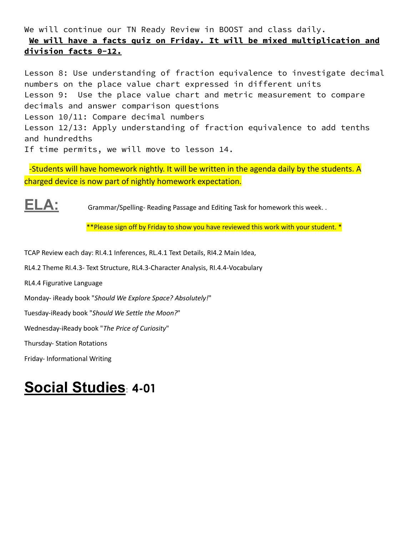#### We will continue our TN Ready Review in BOOST and class daily. **We will have a facts quiz on Friday. It will be mixed multiplication and division facts 0-12.**

Lesson 8: Use understanding of fraction equivalence to investigate decimal numbers on the place value chart expressed in different units Lesson 9: Use the place value chart and metric measurement to compare decimals and answer comparison questions Lesson 10/11: Compare decimal numbers Lesson 12/13: Apply understanding of fraction equivalence to add tenths and hundredths If time permits, we will move to lesson 14.

-Students will have homework nightly. It will be written in the agenda daily by the students. A charged device is now part of nightly homework expectation.

**ELA:** Grammar/Spelling- Reading Passage and Editing Task for homework this week. .

\*\*Please sign off by Friday to show you have reviewed this work with your student. \*

TCAP Review each day: RI.4.1 Inferences, RL.4.1 Text Details, RI4.2 Main Idea,

RL4.2 Theme RI.4.3- Text Structure, RL4.3-Character Analysis, RI.4.4-Vocabulary

RL4.4 Figurative Language

Monday- iReady book "*Should We Explore Space? Absolutely!*"

Tuesday-iReady book "*Should We Settle the Moon?*"

Wednesday-iReady book "*The Price of Curiosity*"

Thursday- Station Rotations

Friday- Informational Writing

## **Social Studies**: **4-01**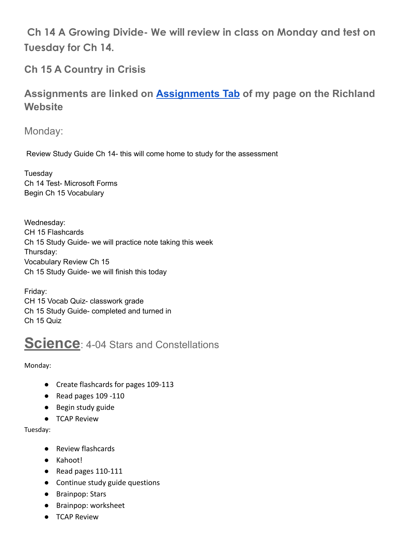**Ch 14 A Growing Divide- We will review in class on Monday and test on Tuesday for Ch 14.**

**Ch 15 A Country in Crisis**

**Assignments are linked on [Assignments Tab](https://schools.scsk12.org/Page/14428) of my page on the Richland Website**

Monday:

Review Study Guide Ch 14- this will come home to study for the assessment

**Tuesday** Ch 14 Test- Microsoft Forms Begin Ch 15 Vocabulary

Wednesday: CH 15 Flashcards Ch 15 Study Guide- we will practice note taking this week Thursday: Vocabulary Review Ch 15 Ch 15 Study Guide- we will finish this today

Friday: CH 15 Vocab Quiz- classwork grade Ch 15 Study Guide- completed and turned in Ch 15 Quiz

### **Science**: 4-04 Stars and Constellations

Monday:

- Create flashcards for pages 109-113
- Read pages 109 -110
- Begin study guide
- TCAP Review

Tuesday:

- Review flashcards
- Kahoot!
- Read pages 110-111
- Continue study guide questions
- Brainpop: Stars
- Brainpop: worksheet
- TCAP Review